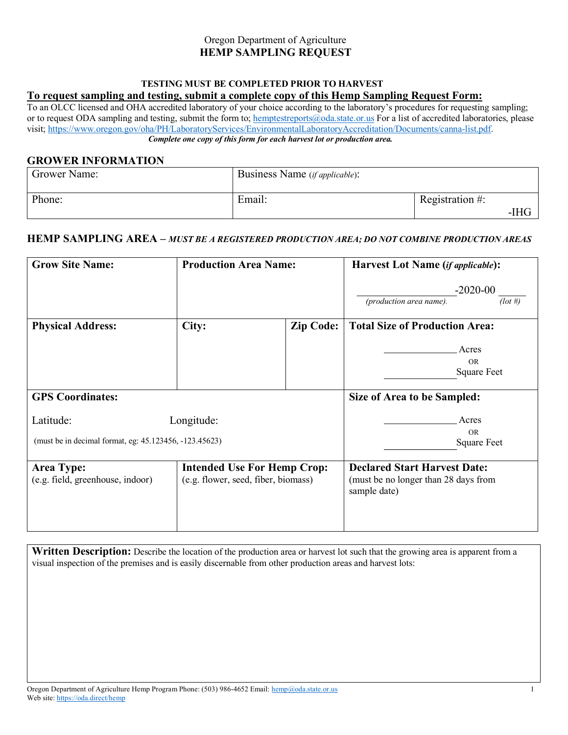#### Oregon Department of Agriculture  **HEMP SAMPLING REQUEST**

# **TESTING MUST BE COMPLETED PRIOR TO HARVEST**

## **To request sampling and testing, submit a complete copy of this Hemp Sampling Request Form:**

To an OLCC licensed and OHA accredited laboratory of your choice according to the laboratory's procedures for requesting sampling; or to request ODA sampling and testing, submit the form to; hemptestreports@oda.state.or.us For a list of accredited laboratories, please visit; https://www.oregon.gov/oha/PH/LaboratoryServices/EnvironmentalLaboratoryAccreditation/Documents/canna-list.pdf.  *Complete one copy of this form for each harvest lot or production area.*

#### **GROWER INFORMATION**

| Grower Name: | Business Name ( <i>if applicable</i> ): |                    |      |  |
|--------------|-----------------------------------------|--------------------|------|--|
| Phone:       | Email:                                  | Registration $#$ : | -IHG |  |

#### **HEMP SAMPLING AREA –** *MUST BE A REGISTERED PRODUCTION AREA; DO NOT COMBINE PRODUCTION AREAS*

| <b>Grow Site Name:</b>                                 | <b>Production Area Name:</b>                                              |                             | <b>Harvest Lot Name (if applicable):</b>                                                    |            |
|--------------------------------------------------------|---------------------------------------------------------------------------|-----------------------------|---------------------------------------------------------------------------------------------|------------|
|                                                        |                                                                           |                             | $-2020-00$                                                                                  |            |
|                                                        |                                                                           |                             | (production area name).                                                                     | $(\ln \#)$ |
| <b>Physical Address:</b>                               | City:                                                                     | <b>Zip Code:</b>            | <b>Total Size of Production Area:</b>                                                       |            |
|                                                        |                                                                           |                             | Acres                                                                                       |            |
|                                                        |                                                                           |                             | <b>OR</b><br><b>Square Feet</b>                                                             |            |
|                                                        |                                                                           |                             |                                                                                             |            |
| <b>GPS</b> Coordinates:                                |                                                                           | Size of Area to be Sampled: |                                                                                             |            |
| Latitude:<br>Longitude:                                |                                                                           | Acres                       |                                                                                             |            |
| (must be in decimal format, eg: 45.123456, -123.45623) |                                                                           | <b>OR</b><br>Square Feet    |                                                                                             |            |
|                                                        |                                                                           |                             |                                                                                             |            |
| <b>Area Type:</b><br>(e.g. field, greenhouse, indoor)  | <b>Intended Use For Hemp Crop:</b><br>(e.g. flower, seed, fiber, biomass) |                             | <b>Declared Start Harvest Date:</b><br>(must be no longer than 28 days from<br>sample date) |            |

**Written Description:** Describe the location of the production area or harvest lot such that the growing area is apparent from a visual inspection of the premises and is easily discernable from other production areas and harvest lots: